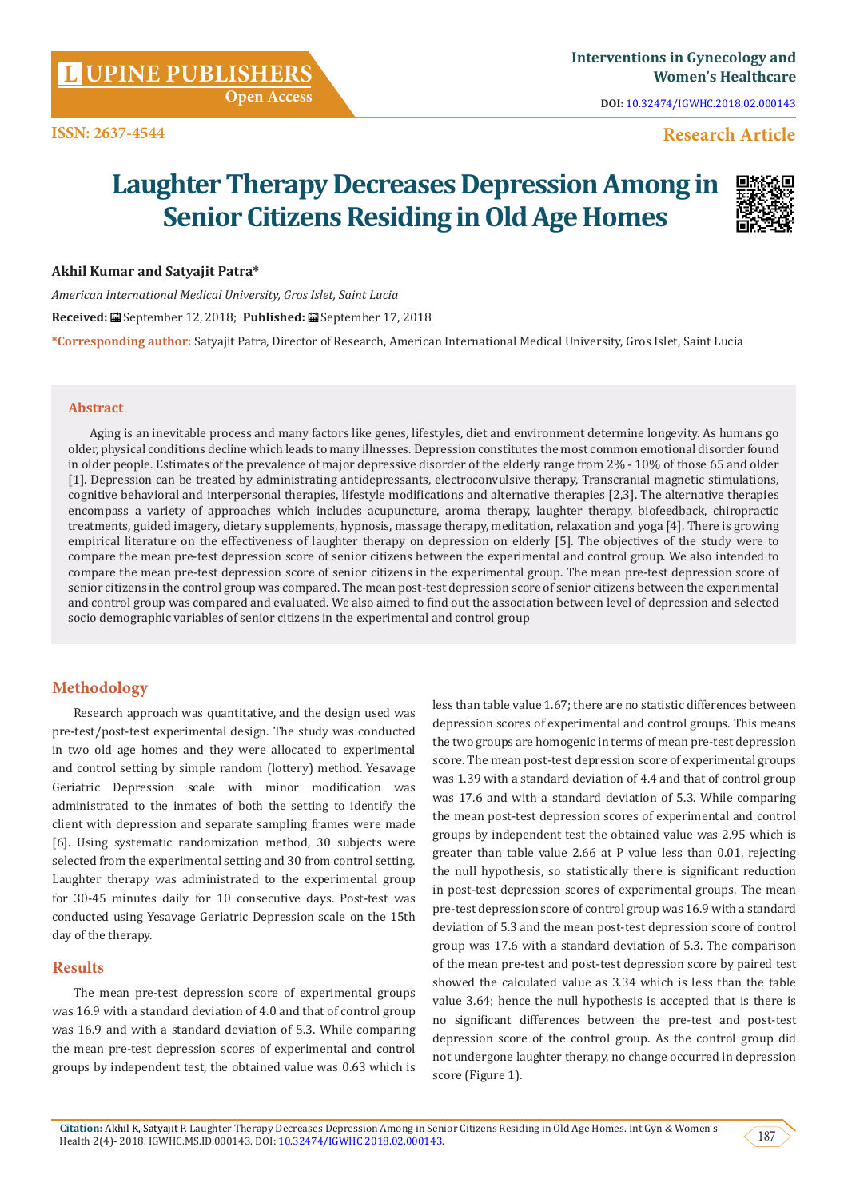**DOI:** [10.32474/IGWHC.2018.02.000143](http://dx.doi.org/10.32474/IGWHC.2018.02.000143)

## **ISSN: 2637-4544 Research Article**

# **Laughter Therapy Decreases Depression Among in Senior Citizens Residing in Old Age Homes**



### **Akhil Kumar and Satyajit Patra\***

*American International Medical University, Gros Islet, Saint Lucia* **Received:** September 12, 2018; **Published:** September 17, 2018 **\*Corresponding author:** Satyajit Patra, Director of Research, American International Medical University, Gros Islet, Saint Lucia

#### **Abstract**

Aging is an inevitable process and many factors like genes, lifestyles, diet and environment determine longevity. As humans go older, physical conditions decline which leads to many illnesses. Depression constitutes the most common emotional disorder found in older people. Estimates of the prevalence of major depressive disorder of the elderly range from 2% - 10% of those 65 and older [1]. Depression can be treated by administrating antidepressants, electroconvulsive therapy, Transcranial magnetic stimulations, cognitive behavioral and interpersonal therapies, lifestyle modifications and alternative therapies [2,3]. The alternative therapies encompass a variety of approaches which includes acupuncture, aroma therapy, laughter therapy, biofeedback, chiropractic treatments, guided imagery, dietary supplements, hypnosis, massage therapy, meditation, relaxation and yoga [4]. There is growing empirical literature on the effectiveness of laughter therapy on depression on elderly [5]. The objectives of the study were to compare the mean pre-test depression score of senior citizens between the experimental and control group. We also intended to compare the mean pre-test depression score of senior citizens in the experimental group. The mean pre-test depression score of senior citizens in the control group was compared. The mean post-test depression score of senior citizens between the experimental and control group was compared and evaluated. We also aimed to find out the association between level of depression and selected socio demographic variables of senior citizens in the experimental and control group

## **Methodology**

Research approach was quantitative, and the design used was pre-test/post-test experimental design. The study was conducted in two old age homes and they were allocated to experimental and control setting by simple random (lottery) method. Yesavage Geriatric Depression scale with minor modification was administrated to the inmates of both the setting to identify the client with depression and separate sampling frames were made [6]. Using systematic randomization method, 30 subjects were selected from the experimental setting and 30 from control setting. Laughter therapy was administrated to the experimental group for 30-45 minutes daily for 10 consecutive days. Post-test was conducted using Yesavage Geriatric Depression scale on the 15th day of the therapy.

## **Results**

The mean pre-test depression score of experimental groups was 16.9 with a standard deviation of 4.0 and that of control group was 16.9 and with a standard deviation of 5.3. While comparing the mean pre-test depression scores of experimental and control groups by independent test, the obtained value was 0.63 which is less than table value 1.67; there are no statistic differences between depression scores of experimental and control groups. This means the two groups are homogenic in terms of mean pre-test depression score. The mean post-test depression score of experimental groups was 1.39 with a standard deviation of 4.4 and that of control group was 17.6 and with a standard deviation of 5.3. While comparing the mean post-test depression scores of experimental and control groups by independent test the obtained value was 2.95 which is greater than table value 2.66 at P value less than 0.01, rejecting the null hypothesis, so statistically there is significant reduction in post-test depression scores of experimental groups. The mean pre-test depression score of control group was 16.9 with a standard deviation of 5.3 and the mean post-test depression score of control group was 17.6 with a standard deviation of 5.3. The comparison of the mean pre-test and post-test depression score by paired test showed the calculated value as 3.34 which is less than the table value 3.64; hence the null hypothesis is accepted that is there is no significant differences between the pre-test and post-test depression score of the control group. As the control group did not undergone laughter therapy, no change occurred in depression score (Figure 1).